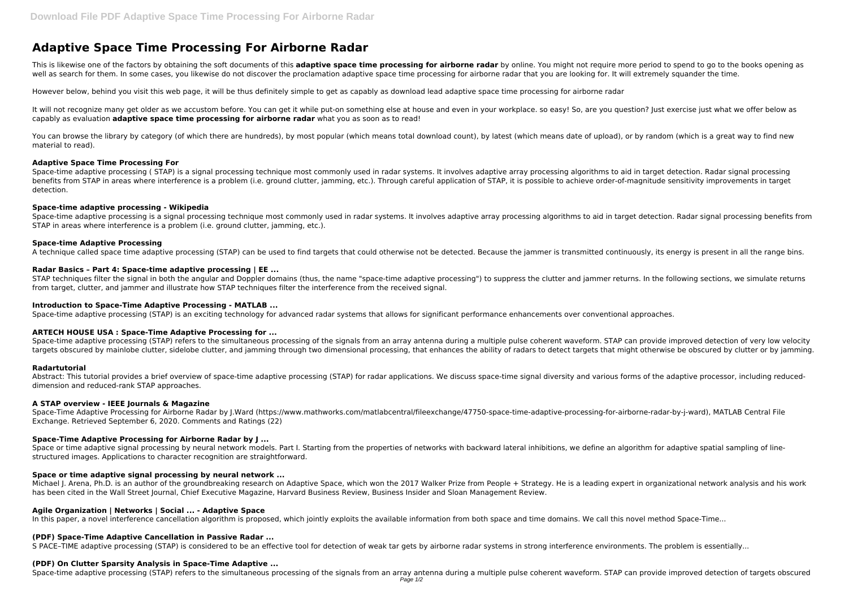# **Adaptive Space Time Processing For Airborne Radar**

This is likewise one of the factors by obtaining the soft documents of this adaptive space time processing for airborne radar by online. You might not require more period to spend to go to the books opening as well as search for them. In some cases, you likewise do not discover the proclamation adaptive space time processing for airborne radar that you are looking for. It will extremely squander the time.

It will not recognize many get older as we accustom before. You can get it while put-on something else at house and even in your workplace. so easy! So, are you question? Just exercise just what we offer below as capably as evaluation **adaptive space time processing for airborne radar** what you as soon as to read!

However below, behind you visit this web page, it will be thus definitely simple to get as capably as download lead adaptive space time processing for airborne radar

You can browse the library by category (of which there are hundreds), by most popular (which means total download count), by latest (which means date of upload), or by random (which is a great way to find new material to read).

Space-time adaptive processing (STAP) is a signal processing technique most commonly used in radar systems. It involves adaptive array processing algorithms to aid in target detection. Radar signal processing benefits from STAP in areas where interference is a problem (i.e. ground clutter, jamming, etc.). Through careful application of STAP, it is possible to achieve order-of-magnitude sensitivity improvements in target detection.

Space-time adaptive processing is a signal processing technique most commonly used in radar systems. It involves adaptive array processing algorithms to aid in target detection. Radar signal processing benefits from STAP in areas where interference is a problem (i.e. ground clutter, jamming, etc.).

#### **Adaptive Space Time Processing For**

STAP techniques filter the signal in both the angular and Doppler domains (thus, the name "space-time adaptive processing") to suppress the clutter and jammer returns. In the following sections, we simulate returns from target, clutter, and jammer and illustrate how STAP techniques filter the interference from the received signal.

Space-time adaptive processing (STAP) refers to the simultaneous processing of the signals from an array antenna during a multiple pulse coherent waveform. STAP can provide improved detection of very low velocity targets obscured by mainlobe clutter, sidelobe clutter, and jamming through two dimensional processing, that enhances the ability of radars to detect targets that might otherwise be obscured by clutter or by jamming.

#### **Space-time adaptive processing - Wikipedia**

# **Space-time Adaptive Processing**

Space or time adaptive signal processing by neural network models. Part I. Starting from the properties of networks with backward lateral inhibitions, we define an algorithm for adaptive spatial sampling of linestructured images. Applications to character recognition are straightforward.

A technique called space time adaptive processing (STAP) can be used to find targets that could otherwise not be detected. Because the jammer is transmitted continuously, its energy is present in all the range bins.

# **Radar Basics – Part 4: Space-time adaptive processing | EE ...**

Michael I. Arena, Ph.D. is an author of the groundbreaking research on Adaptive Space, which won the 2017 Walker Prize from People + Strategy. He is a leading expert in organizational network analysis and his work has been cited in the Wall Street Journal, Chief Executive Magazine, Harvard Business Review, Business Insider and Sloan Management Review.

#### **Introduction to Space-Time Adaptive Processing - MATLAB ...**

Space-time adaptive processing (STAP) is an exciting technology for advanced radar systems that allows for significant performance enhancements over conventional approaches.

#### **ARTECH HOUSE USA : Space-Time Adaptive Processing for ...**

#### **Radartutorial**

Abstract: This tutorial provides a brief overview of space-time adaptive processing (STAP) for radar applications. We discuss space-time signal diversity and various forms of the adaptive processor, including reduceddimension and reduced-rank STAP approaches.

#### **A STAP overview - IEEE Journals & Magazine**

Space-Time Adaptive Processing for Airborne Radar by J.Ward (https://www.mathworks.com/matlabcentral/fileexchange/47750-space-time-adaptive-processing-for-airborne-radar-by-j-ward), MATLAB Central File Exchange. Retrieved September 6, 2020. Comments and Ratings (22)

# **Space-Time Adaptive Processing for Airborne Radar by J ...**

#### **Space or time adaptive signal processing by neural network ...**

#### **Agile Organization | Networks | Social ... - Adaptive Space**

In this paper, a novel interference cancellation algorithm is proposed, which jointly exploits the available information from both space and time domains. We call this novel method Space-Time...

#### **(PDF) Space-Time Adaptive Cancellation in Passive Radar ...**

S PACE–TIME adaptive processing (STAP) is considered to be an effective tool for detection of weak tar gets by airborne radar systems in strong interference environments. The problem is essentially...

#### **(PDF) On Clutter Sparsity Analysis in Space-Time Adaptive ...**

Space-time adaptive processing (STAP) refers to the simultaneous processing of the signals from an array antenna during a multiple pulse coherent waveform. STAP can provide improved detection of targets obscured